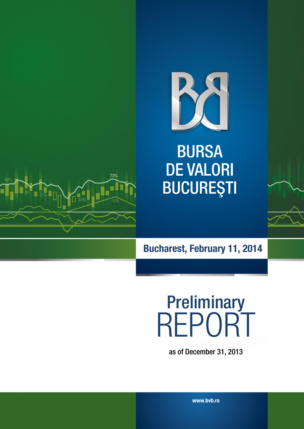

**BURSA DE VALORI BUCUREȘTI** 



**Bucharest, February 11, 2014**

# **Preliminary** REPORT

as of December 31, 2013

**www.bvb.ro**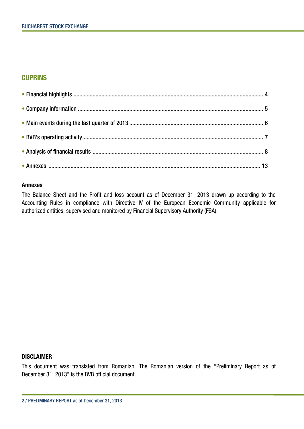#### **CUPRINS**

#### **Annexes**

The Balance Sheet and the Profit and loss account as of December 31, 2013 drawn up according to the Accounting Rules in compliance with Directive IV of the European Economic Community applicable for authorized entities, supervised and monitored by Financial Supervisory Authority (FSA).

#### **DISCLAIMER**

This document was translated from Romanian. The Romanian version of the "Preliminary Report as of December 31, 2013" is the BVB official document.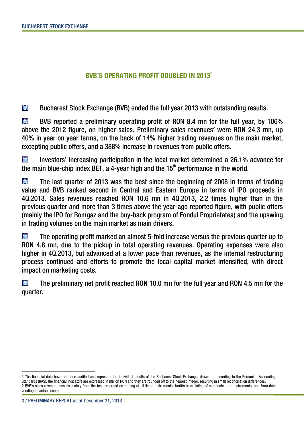# **BVB'S OPERATING PROFIT DOUBLED IN 2013<sup>1</sup>**

M Bucharest Stock Exchange (BVB) ended the full year 2013 with outstanding results.

**M** BVB reported a preliminary operating profit of RON 8.4 mn for the full year, by 106% above the 2012 figure, on higher sales. Preliminary sales revenues<sup>2</sup> were RON 24.3 mn, up 40% in year on year terms, on the back of 14% higher trading revenues on the main market, excepting public offers, and a 388% increase in revenues from public offers.

Investors' increasing participation in the local market determined a 26.1% advance for **M** the main blue-chip index BET, a 4-year high and the  $15<sup>th</sup>$  performance in the world.

M The last quarter of 2013 was the best since the beginning of 2008 in terms of trading value and BVB ranked second in Central and Eastern Europe in terms of IPO proceeds in 4Q.2013. Sales revenues reached RON 10.6 mn in 4Q.2013, 2.2 times higher than in the previous quarter and more than 3 times above the year-ago reported figure, with public offers (mainly the IPO for Romgaz and the buy-back program of Fondul Proprietatea) and the upswing in trading volumes on the main market as main drivers.

**M** The operating profit marked an almost 5-fold increase versus the previous quarter up to RON 4.8 mn, due to the pickup in total operating revenues. Operating expenses were also higher in 4Q.2013, but advanced at a lower pace than revenues, as the internal restructuring process continued and efforts to promote the local capital market intensified, with direct impact on marketing costs.

**M** The preliminary net profit reached RON 10.0 mn for the full year and RON 4.5 mn for the quarter.

 $\overline{a}$ 

<sup>1</sup> The financial data have not been audited and represent the individual results of the Bucharest Stock Exchange, drawn up according to the Romanian Accounting Standards (RAS); the financial indicators are expressed in million RON and they are rounded off to the nearest integer, resulting in small reconciliation differences. 2 BVB's sales revenue consists mainly from the fees recorded on trading of all listed instruments, tarriffs from listing of companies and instruments, and from data vending to various users.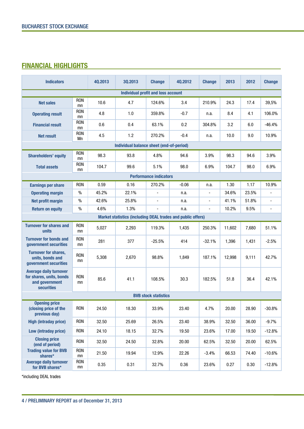# **FINANCIAL HIGHLIGHTS\_\_\_\_\_\_\_\_\_\_\_\_\_\_\_\_\_\_\_\_\_\_\_\_\_\_\_\_\_\_\_\_\_\_\_\_\_\_\_\_\_\_\_\_\_\_\_\_\_\_\_\_\_\_**

| <b>Indicators</b>                                                                                |                  | 40,2013 | 30.2013                                                     | <b>Change</b>                 | 40.2012 | <b>Change</b>  | 2013   | 2012  | <b>Change</b> |
|--------------------------------------------------------------------------------------------------|------------------|---------|-------------------------------------------------------------|-------------------------------|---------|----------------|--------|-------|---------------|
| <b>Individual profit and loss account</b>                                                        |                  |         |                                                             |                               |         |                |        |       |               |
| <b>Net sales</b>                                                                                 | <b>RON</b><br>mn | 10.6    | 4.7                                                         | 124.6%                        | 3.4     | 210.9%         | 24.3   | 17.4  | 39,5%         |
| <b>Operating result</b>                                                                          | <b>RON</b><br>mn | 4.8     | 1.0                                                         | 359.8%                        | $-0.7$  | n.a.           | 8.4    | 4.1   | 106.0%        |
| <b>Financial result</b>                                                                          | <b>RON</b><br>mn | 0.6     | 0.4                                                         | 63.1%                         | 0.2     | 304.8%         | 3.2    | 6.0   | $-46.4%$      |
| <b>Net result</b>                                                                                | <b>RON</b><br>Mn | 4.5     | 1.2                                                         | 270.2%                        | $-0.4$  | n.a.           | 10.0   | 9.0   | 10.9%         |
|                                                                                                  |                  |         | Individual balance sheet (end-of-period)                    |                               |         |                |        |       |               |
| <b>Shareholders' equity</b>                                                                      | <b>RON</b><br>mn | 98.3    | 93.8                                                        | 4.8%                          | 94.6    | 3.9%           | 98.3   | 94.6  | 3.9%          |
| <b>Total assets</b>                                                                              | <b>RON</b><br>mn | 104.7   | 99.6                                                        | 5.1%                          | 98.0    | 6.9%           | 104.7  | 98.0  | 6.9%          |
|                                                                                                  |                  |         |                                                             | <b>Performance indicators</b> |         |                |        |       |               |
| <b>Earnings per share</b>                                                                        | <b>RON</b>       | 0.59    | 0.16                                                        | 270.2%                        | $-0.06$ | n.a.           | 1.30   | 1.17  | 10.9%         |
| <b>Operating margin</b>                                                                          | $\frac{0}{0}$    | 45.2%   | 22.1%                                                       |                               | n.a.    |                | 34.6%  | 23.5% |               |
| <b>Net profit margin</b>                                                                         | $\%$             | 42.6%   | 25.8%                                                       | $\blacksquare$                | n.a.    | $\blacksquare$ | 41.1%  | 51.8% |               |
| <b>Return on equity</b>                                                                          | $\%$             | 4.6%    | 1.3%                                                        | L,                            | n.a.    |                | 10.2%  | 9.5%  |               |
|                                                                                                  |                  |         | Market statistics (including DEAL trades and public offers) |                               |         |                |        |       |               |
| <b>Turnover for shares and</b><br>units                                                          | <b>RON</b><br>mn | 5,027   | 2,293                                                       | 119.3%                        | 1,435   | 250.3%         | 11,602 | 7,680 | 51.1%         |
| <b>Turnover for bonds and</b><br>government securities                                           | <b>RON</b><br>mn | 281     | 377                                                         | $-25.5%$                      | 414     | $-32.1%$       | 1,396  | 1,431 | $-2.5%$       |
| <b>Turnover for shares,</b><br>units, bonds and<br>government securities                         | <b>RON</b><br>mn | 5,308   | 2,670                                                       | 98.8%                         | 1,849   | 187.1%         | 12,998 | 9,111 | 42.7%         |
| <b>Average daily turnover</b><br>for shares, units, bonds<br>and government<br><b>securities</b> | <b>RON</b><br>mn | 85.6    | 41.1                                                        | 108.5%                        | 30.3    | 182.5%         | 51.8   | 36.4  | 42.1%         |
|                                                                                                  |                  |         |                                                             | <b>BVB stock statistics</b>   |         |                |        |       |               |
| <b>Opening price</b><br>(closing price of the<br>previous day)                                   | <b>RON</b>       | 24.50   | 18.30                                                       | 33.9%                         | 23.40   | 4.7%           | 20.00  | 28.90 | $-30.8%$      |
| <b>High (intraday price)</b>                                                                     | <b>RON</b>       | 32.50   | 25.69                                                       | 26.5%                         | 23.40   | 38.9%          | 32.50  | 36.00 | $-9.7%$       |
| Low (intraday price)                                                                             | <b>RON</b>       | 24.10   | 18.15                                                       | 32.7%                         | 19.50   | 23.6%          | 17.00  | 19.50 | $-12.8%$      |
| <b>Closing price</b><br>(end of period)                                                          | <b>RON</b>       | 32.50   | 24.50                                                       | 32.8%                         | 20.00   | 62.5%          | 32.50  | 20.00 | 62.5%         |
| <b>Trading value for BVB</b><br>shares*                                                          | <b>RON</b><br>mn | 21.50   | 19.94                                                       | 12.9%                         | 22.26   | $-3.4%$        | 66.53  | 74.40 | $-10.6%$      |
| <b>Average daily turnover</b><br>for BVB shares*                                                 | <b>RON</b><br>mn | 0.35    | 0.31                                                        | 32.7%                         | 0.36    | 23.6%          | 0.27   | 0.30  | $-12.8%$      |

\*including DEAL trades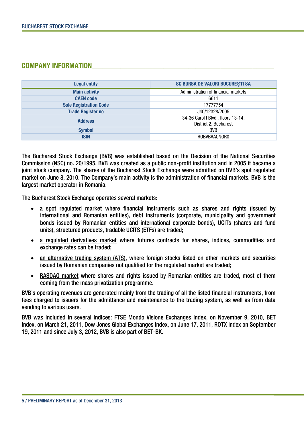### COMPANY INFORMATION

| <b>Legal entity</b>           | <b>SC BURSA DE VALORI BUCURESTI SA</b> |  |  |
|-------------------------------|----------------------------------------|--|--|
| <b>Main activity</b>          | Administration of financial markets    |  |  |
| <b>CAEN</b> code              | 6611                                   |  |  |
| <b>Sole Registration Code</b> | 17777754                               |  |  |
| <b>Trade Register no</b>      | J40/12328/2005                         |  |  |
| <b>Address</b>                | 34-36 Carol I Blvd., floors 13-14,     |  |  |
|                               | District 2, Bucharest                  |  |  |
| <b>Symbol</b>                 | <b>BVB</b>                             |  |  |
| <b>ISIN</b>                   | ROBVBAACNOR0                           |  |  |

The Bucharest Stock Exchange (BVB) was established based on the Decision of the National Securities Commission (NSC) no. 20/1995. BVB was created as a public non-profit institution and in 2005 it became a joint stock company. The shares of the Bucharest Stock Exchange were admitted on BVB's spot regulated market on June 8, 2010. The Company's main activity is the administration of financial markets. BVB is the largest market operator in Romania.

The Bucharest Stock Exchange operates several markets:

- a spot regulated market where financial instruments such as shares and rights (issued by international and Romanian entities), debt instruments (corporate, municipality and government bonds issued by Romanian entities and international corporate bonds), UCITs (shares and fund units), structured products, tradable UCITS (ETFs) are traded;
- a regulated derivatives market where futures contracts for shares, indices, commodities and exchange rates can be traded;
- an alternative trading system (ATS), where foreign stocks listed on other markets and securities issued by Romanian companies not qualified for the regulated market are traded;
- RASDAQ market where shares and rights issued by Romanian entities are traded, most of them coming from the mass privatization programme.

BVB's operating revenues are generated mainly from the trading of all the listed financial instruments, from fees charged to issuers for the admittance and maintenance to the trading system, as well as from data vending to various users.

BVB was included in several indices: FTSE Mondo Visione Exchanges Index, on November 9, 2010, BET Index, on March 21, 2011, Dow Jones Global Exchanges Index, on June 17, 2011, ROTX Index on September 19, 2011 and since July 3, 2012, BVB is also part of BET-BK.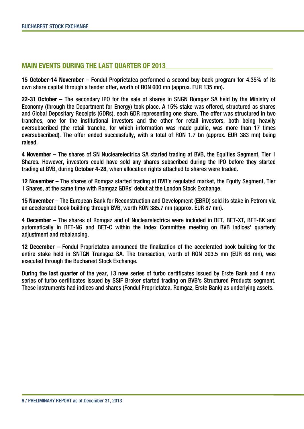### **MAIN EVENTS DURING THE LAST OUARTER OF 2013**

**15 October-14 November** – Fondul Proprietatea performed a second buy-back program for 4.35% of its own share capital through a tender offer, worth of RON 600 mn (approx. EUR 135 mn).

**22-31 October** – The secondary IPO for the sale of shares in SNGN Romgaz SA held by the Ministry of Economy (through the Department for Energy) took place. A 15% stake was offered, structured as shares and Global Depositary Receipts (GDRs), each GDR representing one share. The offer was structured in two tranches, one for the institutional investors and the other for retail investors, both being heavily oversubscribed (the retail tranche, for which information was made public, was more than 17 times oversubscribed). The offer ended successfully, with a total of RON 1.7 bn (approx. EUR 383 mn) being raised.

**4 November** – The shares of SN Nuclearelectrica SA started trading at BVB, the Equities Segment, Tier 1 Shares. However, investors could have sold any shares subscribed during the IPO before they started trading at BVB, during **October 4-28**, when allocation rights attached to shares were traded.

**12 November** – The shares of Romgaz started trading at BVB's regulated market, the Equity Segment, Tier 1 Shares, at the same time with Romgaz GDRs' debut at the London Stock Exchange.

**15 November** – The European Bank for Reconstruction and Development (EBRD) sold its stake in Petrom via an accelerated book building through BVB, worth RON 385.7 mn (approx. EUR 87 mn).

**4 December** – The shares of Romgaz and of Nuclearelectrica were included in BET, BET-XT, BET-BK and automatically in BET-NG and BET-C within the Index Committee meeting on BVB indices' quarterly adjustment and rebalancing.

**12 December** – Fondul Proprietatea announced the finalization of the accelerated book building for the entire stake held in SNTGN Transgaz SA. The transaction, worth of RON 303.5 mn (EUR 68 mn), was executed through the Bucharest Stock Exchange.

During the **last quarter** of the year, 13 new series of turbo certificates issued by Erste Bank and 4 new series of turbo certificates issued by SSIF Broker started trading on BVB's Structured Products segment. These instruments had indices and shares (Fondul Proprietatea, Romgaz, Erste Bank) as underlying assets.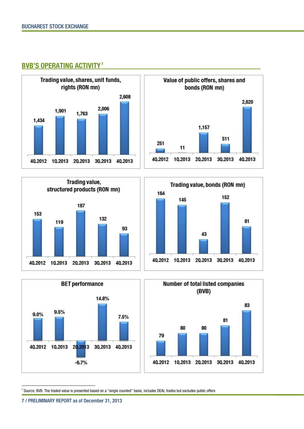













 $\overline{a}$  $^{\circ}$  Source: BVB. The traded value is presented based on a "single counted" basis, includes DEAL trades but excludes public offers

<sup>7</sup> / PRELIMINARY REPORT as of December 31, 2013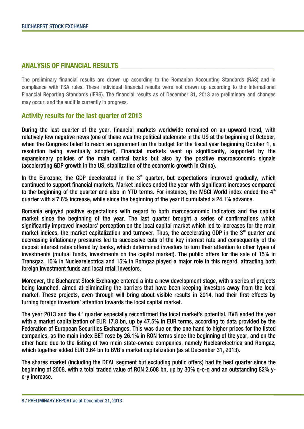#### **ANALYSIS OF FINANCIAL RESULTS \_\_\_\_\_\_\_\_\_\_\_\_\_\_\_\_\_\_\_\_\_\_\_\_\_\_\_\_\_\_\_\_\_\_\_\_\_\_\_\_\_\_\_**

The preliminary financial results are drawn up according to the Romanian Accounting Standards (RAS) and in compliance with FSA rules. These individual financial results were not drawn up according to the International Financial Reporting Standards (IFRS). The financial results as of December 31, 2013 are preliminary and changes may occur, and the audit is currently in progress.

#### **Activity results for the last quarter of 2013**

During the last quarter of the year, financial markets worldwide remained on an upward trend, with relatively few negative news (one of these was the political stalemate in the US at the beginning of October, when the Congress failed to reach an agreement on the budget for the fiscal year beginning October 1, a resolution being eventually adopted). Financial markets went up significantly, supported by the expansionary policies of the main central banks but also by the positive macroeconomic signals (accelerating GDP growth in the US, stabilization of the economic growth in China).

In the Eurozone, the GDP decelerated in the  $3<sup>rd</sup>$  quarter, but expectations improved gradually, which continued to support financial markets. Market indices ended the year with significant increases compared to the beginning of the quarter and also in YTD terms. For instance, the MSCI World index ended the  $4<sup>th</sup>$ quarter with a 7.6% increase, while since the beginning of the year it cumulated a 24.1% advance.

Romania enjoyed positive expectations with regard to both marcoeconomic indicators and the capital market since the beginning of the year. The last quarter brought a series of confirmations which significantly improved investors' perception on the local capital market which led to increases for the main market indices, the market capitalization and turnover. Thus, the accelerating GDP in the  $3<sup>rd</sup>$  quarter and decreasing inflationary pressures led to successive cuts of the key interest rate and consequently of the deposit interest rates offered by banks, which determined investors to turn their attention to other types of investments (mutual funds, investments on the capital market). The public offers for the sale of 15% in Transgaz, 10% in Nuclearelectrica and 15% in Romgaz played a major role in this regard, attracting both foreign investment funds and local retail investors.

Moreover, the Bucharest Stock Exchange entered a into a new development stage, with a series of projects being launched, aimed at eliminating the barriers that have been keeping investors away from the local market. These projects, even through will bring about visible results in 2014, had their first effects by turning foreign investors' attention towards the local capital market.

The year 2013 and the  $4<sup>th</sup>$  quarter especially reconfirmed the local market's potential. BVB ended the year with a market capitalization of EUR 17.8 bn, up by 47.5% in EUR terms, according to data provided by the Federation of European Securities Exchanges. This was due on the one hand to higher prices for the listed companies, as the main index BET rose by 26.1% in RON terms since the beginning of the year, and on the other hand due to the listing of two main state-owned companies, namely Nuclearelectrica and Romgaz, which together added EUR 3.64 bn to BVB's market capitalization (as at December 31, 2013).

The shares market (including the DEAL segment but excluding public offers) had its best quarter since the beginning of 2008, with a total traded value of RON 2,608 bn, up by 30% q-o-q and an outstanding 82% yo-y increase.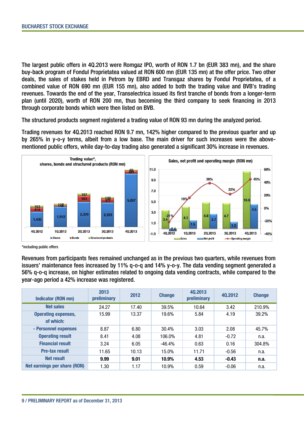The largest public offers in 4Q.2013 were Romgaz IPO, worth of RON 1.7 bn (EUR 383 mn), and the share buy-back program of Fondul Proprietatea valued at RON 600 mn (EUR 135 mn) at the offer price. Two other deals, the sales of stakes held in Petrom by EBRD and Transgaz shares by Fondul Proprietatea, of a combined value of RON 690 mn (EUR 155 mn), also added to both the trading value and BVB's trading revenues. Towards the end of the year, Transelectrica issued its first tranche of bonds from a longer-term plan (until 2020), worth of RON 200 mn, thus becoming the third company to seek financing in 2013 through corporate bonds which were then listed on BVB.

The structured products segment registered a trading value of RON 93 mn during the analyzed period.

Trading revenues for 4Q.2013 reached RON 9.7 mn, 142% higher compared to the previous quarter and up by 265% in y-o-y terms, albeit from a low base. The main driver for such increases were the abovementioned public offers, while day-to-day trading also generated a significant 30% increase in revenues.



\*including public offers

Revenues from participants fees remained unchanged as in the previous two quarters, while revenues from issuers' maintenance fees increased by 11% q-o-q and 14% y-o-y. The data vending segment generated a 56% q-o-q increase, on higher estimates related to ongoing data vending contracts, while compared to the year-ago period a 42% increase was registered.

| <b>Indicator (RON mn)</b>               | 2013<br>preliminary | 2012  | <b>Change</b> | 40.2013<br>preliminary | 40.2012 | <b>Change</b> |
|-----------------------------------------|---------------------|-------|---------------|------------------------|---------|---------------|
| <b>Net sales</b>                        | 24.27               | 17.40 | 39.5%         | 10.64                  | 3.42    | 210.9%        |
| <b>Operating expenses,</b><br>of which: | 15.99               | 13.37 | 19.6%         | 5.84                   | 4.19    | 39.2%         |
| - Personnel expenses                    | 8.87                | 6.80  | 30.4%         | 3.03                   | 2.08    | 45.7%         |
| <b>Operating result</b>                 | 8.41                | 4.08  | 106.0%        | 4.81                   | $-0.72$ | n.a.          |
| <b>Financial result</b>                 | 3.24                | 6.05  | $-46.4%$      | 0.63                   | 0.16    | 304.8%        |
| <b>Pre-tax result</b>                   | 11.65               | 10.13 | 15.0%         | 11.71                  | $-0.56$ | n.a.          |
| Net result                              | 9.99                | 9.01  | 10.9%         | 4.53                   | $-0.43$ | n.a.          |
| Net earnings per share (RON)            | 1.30                | 1.17  | 10.9%         | 0.59                   | $-0.06$ | n.a.          |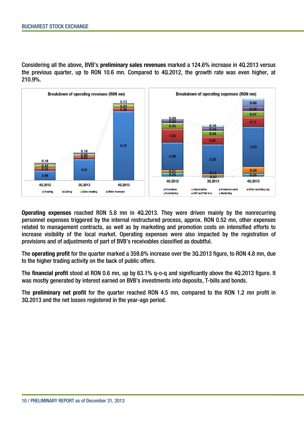Considering all the above, BVB's **preliminary sales revenues** marked a 124.6% increase in 4Q.2013 versus the previous quarter, up to RON 10.6 mn. Compared to 4Q.2012, the growth rate was even higher, at 210.9%.



**Operating expenses** reached RON 5.8 mn in 4Q.2013. They were driven mainly by the nonrecurring personnel expenses triggered by the internal restructured process, approx. RON 0.52 mn, other expenses related to management contracts, as well as by marketing and promotion costs on intensified efforts to increase visibility of the local market. Operating expenses were also impacted by the registration of provisions and of adjustments of part of BVB's receivables classified as doubtful.

The **operating profit** for the quarter marked a 359.8% increase over the 3Q.2013 figure, to RON 4.8 mn, due to the higher trading activity on the back of public offers.

The **financial profit** stood at RON 0.6 mn, up by 63.1% q-o-q and significantly above the 4Q.2013 figure. It was mostly generated by interest earned on BVB's investments into deposits, T-bills and bonds.

The **preliminary net profit** for the quarter reached RON 4.5 mn, compared to the RON 1.2 mn profit in 3Q.2013 and the net losses registered in the year-ago period.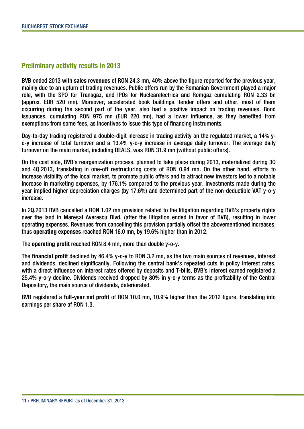#### **Preliminary activity results in 2013**

BVB ended 2013 with **sales revenues** of RON 24.3 mn, 40% above the figure reported for the previous year, mainly due to an upturn of trading revenues. Public offers run by the Romanian Government played a major role, with the SPO for Transgaz, and IPOs for Nuclearelectrica and Romgaz cumulating RON 2.33 bn (approx. EUR 520 mn). Moreover, accelerated book buildings, tender offers and other, most of them occurring during the second part of the year, also had a positive impact on trading revenues. Bond issuances, cumulating RON 975 mn (EUR 220 mn), had a lower influence, as they benefited from exemptions from some fees, as incentives to issue this type of financing instruments.

Day-to-day trading registered a double-digit increase in trading activity on the regulated market, a 14% yo-y increase of total turnover and a 13.4% y-o-y increase in average daily turnover. The average daily turnover on the main market, including DEALS, was RON 31.9 mn (without public offers).

On the cost side, BVB's reorganization process, planned to take place during 2013, materialized during 3Q and 4Q.2013, translating in one-off restructuring costs of RON 0.94 mn. On the other hand, efforts to increase visibility of the local market, to promote public offers and to attract new investors led to a notable increase in marketing expenses, by 176.1% compared to the previous year. Investments made during the year implied higher depreciation charges (by 17.6%) and determined part of the non-deductible VAT y-o-y increase.

In 2Q.2013 BVB cancelled a RON 1.02 mn provision related to the litigation regarding BVB's property rights over the land in Mareșal Averescu Blvd. (after the litigation ended in favor of BVB), resulting in lower operating expenses. Revenues from cancelling this provision partially offset the abovementioned increases, thus **operating expenses** reached RON 16.0 mn, by 19.6% higher than in 2012.

The **operating profit** reached RON 8.4 mn, more than double y-o-y.

The **financial profit** declined by 46.4% y-o-y to RON 3.2 mn, as the two main sources of revenues, interest and dividends, declined significantly. Following the central bank's repeated cuts in policy interest rates, with a direct influence on interest rates offered by deposits and T-bills, BVB's interest earned registered a 25.4% y-o-y decline. Dividends received dropped by 80% in y-o-y terms as the profitability of the Central Depository, the main source of dividends, deteriorated.

BVB registered a **full-year net profit** of RON 10.0 mn, 10.9% higher than the 2012 figure, translating into earnings per share of RON 1.3.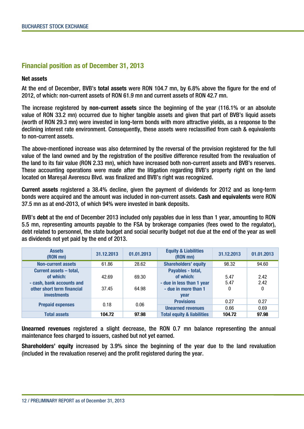#### **Financial position as of December 31, 2013**

#### **Net assets**

At the end of December, BVB's **total assets** were RON 104.7 mn, by 6.8% above the figure for the end of 2012, of which: non-current assets of RON 61.9 mn and current assets of RON 42.7 mn.

The increase registered by **non-current assets** since the beginning of the year (116.1% or an absolute value of RON 33.2 mn) occurred due to higher tangible assets and given that part of BVB's liquid assets (worth of RON 29.3 mn) were invested in long-term bonds with more attractive yields, as a response to the declining interest rate environment. Consequently, these assets were reclassified from cash & equivalents to non-current assets.

The above-mentioned increase was also determined by the reversal of the provision registered for the full value of the land owned and by the registration of the positive difference resulted from the revaluation of the land to its fair value (RON 2.33 mn), which have increased both non-current assets and BVB's reserves. These accounting operations were made after the litigation regarding BVB's property right on the land located on Mareșal Averescu Blvd. was finalized and BVB's right was recognized.

**Current assets** registered a 38.4% decline, given the payment of dividends for 2012 and as long-term bonds were acquired and the amount was included in non-current assets. **Cash and equivalents** were RON 37.5 mn as at end-2013, of which 94% were invested in bank deposits.

BVB's **debt** at the end of December 2013 included only payables due in less than 1 year, amounting to RON 5.5 mn, representing amounts payable to the FSA by brokerage companies (fees owed to the regulator), debt related to personnel, the state budget and social security budget not due at the end of the year as well as dividends not yet paid by the end of 2013.

| <b>Assets</b><br>(RON mn)                                                                                             | 31.12.2013     | 01.01.2013     | <b>Equity &amp; Liabilities</b><br>(RON mn)                                                        | 31.12.2013        | 01.01.2013        |
|-----------------------------------------------------------------------------------------------------------------------|----------------|----------------|----------------------------------------------------------------------------------------------------|-------------------|-------------------|
| <b>Non-current assets</b>                                                                                             | 61.86          | 28.62          | <b>Shareholders' equity</b>                                                                        | 98.32             | 94.60             |
| Current assets - total,<br>of which:<br>- cash, bank accounts and<br>other short term financial<br><b>investments</b> | 42.69<br>37.45 | 69.30<br>64.98 | Payables - total,<br>of which:<br>- due in less than 1 year<br>- due in more than 1<br><b>vear</b> | 5.47<br>5.47<br>0 | 2.42<br>2.42<br>0 |
| <b>Prepaid expenses</b>                                                                                               | 0.18           | 0.06           | <b>Provisions</b><br><b>Unearned revenues</b>                                                      | 0.27<br>0.66      | 0.27<br>0.69      |
| <b>Total assets</b>                                                                                                   | 104.72         | 97.98          | <b>Total equity &amp; liabilities</b>                                                              | 104.72            | 97.98             |

**Unearned revenues** registered a slight decrease, the RON 0.7 mn balance representing the annual maintenance fees charged to issuers, cashed but not yet earned.

**Shareholders' equity** increased by 3.9% since the beginning of the year due to the land revaluation (included in the revaluation reserve) and the profit registered during the year.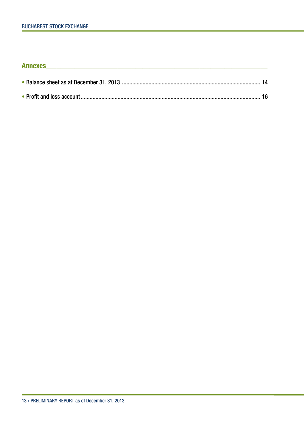## **Annexes**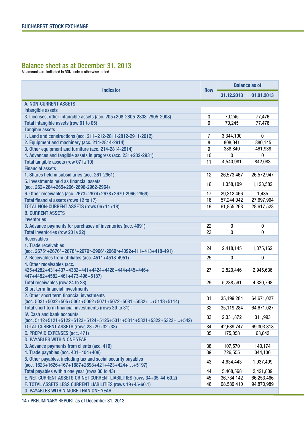#### Balance sheet as at December 31, 2013

All amounts are indicated in RON, unless otherwise stated

|                                                                                                                            |            | <b>Balance as of</b> |            |  |
|----------------------------------------------------------------------------------------------------------------------------|------------|----------------------|------------|--|
| <b>Indicator</b>                                                                                                           | <b>Row</b> | 31.12.2013           | 01.01.2013 |  |
| A. NON-CURRENT ASSETS                                                                                                      |            |                      |            |  |
| Intangible assets                                                                                                          |            |                      |            |  |
| 3. Licenses, other intangible assets (acc. 205+208-2805-2808-2905-2908)                                                    | 3          | 70,245               | 77,476     |  |
| Total intangible assets (row 01 to 05)                                                                                     | 6          | 70,245               | 77,476     |  |
| <b>Tangible assets</b>                                                                                                     |            |                      |            |  |
| 1. Land and constructions (acc. 211+212-2811-2812-2911-2912)                                                               | 7          | 3,344,100            | 0          |  |
| 2. Equipment and machinery (acc. 214-2814-2914)                                                                            | 8          | 808,041              | 380,145    |  |
| 3. Other equipment and furniture (acc. 214-2814-2914)                                                                      | 9          | 388,840              | 461,938    |  |
| 4. Advances and tangible assets in progress (acc. 231+232-2931)                                                            | 10         | 0                    | 0          |  |
| Total tangible assets (row 07 la 10)                                                                                       | 11         | 4,540,981            | 842,083    |  |
| <b>Financial assets</b>                                                                                                    |            |                      |            |  |
| 1. Shares held in subsidiaries (acc. 261-2961)                                                                             | 12         | 26,573,467           | 26,572,947 |  |
| 5. Investments held as financial assets                                                                                    |            |                      |            |  |
| (acc. $262+264+265+266-2696-2962-2964$ )                                                                                   | 16         | 1,358,109            | 1,123,582  |  |
| 6. Other receivables (acc. 2673+2674+2678+2679-2966-2969)                                                                  | 17         | 29,312,466           | 1,435      |  |
| Total financial assets (rows 12 to 17)                                                                                     | 18         | 57,244,042           | 27,697,964 |  |
| TOTAL NON-CURRENT ASSETS (rows 06+11+18)                                                                                   | 19         | 61,855,268           | 28,617,523 |  |
| <b>B. CURRENT ASSETS</b>                                                                                                   |            |                      |            |  |
| <b>Inventories</b>                                                                                                         |            |                      |            |  |
| 3. Advance payments for purchases of inventories (acc. 4091)                                                               | 22         | 0                    | 0          |  |
| Total inventories (row 20 la 22)                                                                                           | 23         | 0                    | 0          |  |
| <b>Receivables</b>                                                                                                         |            |                      |            |  |
| 1. Trade receivables                                                                                                       |            |                      |            |  |
| $(\text{acc. } 2675^* + 2676^* + 2678^* + 2679^* - 2966^* - 2969^* + 4092 + 411 + 413 + 418 - 491)$                        | 24         | 2,418,145            | 1,375,162  |  |
| 2. Receivables from affiliates (acc. 4511+4518-4951)                                                                       | 25         | 0                    | 0          |  |
| 4. Other receivables (acc.                                                                                                 |            |                      |            |  |
| 425+4282+431+437+4382+441+4424+4428+444+445+446+                                                                           | 27         | 2,820,446            | 2,945,636  |  |
| 447+4482+4582+461+473-496+5187)                                                                                            |            |                      |            |  |
| Total receivables (row 24 to 28)                                                                                           | 29         | 5,238,591            | 4,320,798  |  |
| <b>Short term financial investments</b>                                                                                    |            |                      |            |  |
| 2. Other short term financial investments                                                                                  | 31         | 35,199,284           | 64,671,027 |  |
| (acc. $5031+5032+505+5061+5062+5071+5072+5081+5082++5113+5114$ )<br>Total short term financial investments (rows 30 to 31) | 32         | 35,119,284           | 64,671,027 |  |
| <b>IV. Cash and bank accounts</b>                                                                                          |            |                      |            |  |
| (acc. 5112+5121+5122+5123+5124+5125+5311+5314+5321+5322+5323++542)                                                         | 33         | 2,331,872            | 311,993    |  |
| TOTAL CURRENT ASSETS (rows 23+29+32+33)                                                                                    | 34         | 42,689,747           | 69,303,818 |  |
| C. PREPAID EXPENSES (acc. 471)                                                                                             | 35         | 175,058              | 63,642     |  |
| <b>D. PAYABLES WITHIN ONE YEAR</b>                                                                                         |            |                      |            |  |
| 3. Advance payments from clients (acc. 419)                                                                                | 38         | 107,570              | 140,174    |  |
| 4. Trade payables (acc. 401+404+408)                                                                                       | 39         | 726,555              | 344,136    |  |
| 8. Other payables, including tax and social security payables                                                              |            |                      |            |  |
| $(\text{acc. } 1623 + 1626 + 167 + 1687 + 2698 + 421 + 423 + 424 + \ldots + 5197)$                                         | 43         | 4,634,443            | 1,937,499  |  |
| Total payables within one year (rows 36 to 43)                                                                             | 44         | 5,468,568            | 2,421,809  |  |
| E. NET CURRENT ASSETS OR NET CURRENT LIABILITIES (rows 34+35-44-60.2)                                                      | 45         | 36,734,142           | 66,253,466 |  |
| F. TOTAL ASSETS LESS CURRENT LIABILITIES (rows 19+45-60.1)                                                                 | 46         | 98,589,410           | 94,870,989 |  |
| <b>G. PAYABLES WITHIN MORE THAN ONE YEAR</b>                                                                               |            |                      |            |  |

14 / PRELIMINARY REPORT as of December 31, 2013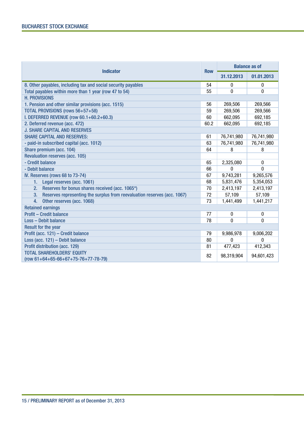| <b>Indicator</b>                                                               |      | <b>Balance as of</b> |                  |  |
|--------------------------------------------------------------------------------|------|----------------------|------------------|--|
|                                                                                |      | 31.12.2013           | 01.01.2013       |  |
| 8. Other payables, including tax and social security payables                  | 54   | $\mathbf{0}$         | $\boldsymbol{0}$ |  |
| Total payables within more than 1 year (row 47 to 54)                          | 55   | 0                    | 0                |  |
| <b>H. PROVISIONS</b>                                                           |      |                      |                  |  |
| 1. Pension and other similar provisions (acc. 1515)                            | 56   | 269,506              | 269,566          |  |
| TOTAL PROVISIONS (rows 56+57+58)                                               | 59   | 269,506              | 269,566          |  |
| I. DEFERRED REVENUE (row 60.1+60.2+60.3)                                       | 60   | 662,095              | 692,185          |  |
| 2. Deferred revenue (acc. 472)                                                 | 60.2 | 662,095              | 692,185          |  |
| <b>J. SHARE CAPITAL AND RESERVES</b>                                           |      |                      |                  |  |
| <b>SHARE CAPITAL AND RESERVES:</b>                                             | 61   | 76,741,980           | 76,741,980       |  |
| - paid-in subscribed capital (acc. 1012)                                       | 63   | 76,741,980           | 76,741,980       |  |
| Share premium (acc. 104)                                                       | 64   | 8                    | 8                |  |
| <b>Revaluation reserves (acc. 105)</b>                                         |      |                      |                  |  |
| - Credit balance                                                               | 65   | 2,325,080            | 0                |  |
| - Debit balance                                                                | 66   | 0                    | 0                |  |
| IV. Reserves (rows 68 to 73-74)                                                | 67   | 9,743,281            | 9,265,576        |  |
| Legal reserves (acc. 1061)<br>1.                                               | 68   | 5,831,476            | 5,354,053        |  |
| Reserves for bonus shares received (acc. 1065*)<br>2.                          | 70   | 2,413,197            | 2,413,197        |  |
| Reserves representing the surplus from reevaluation reserves (acc. 1067)<br>3. | 72   | 57,109               | 57,109           |  |
| Other reserves (acc. 1068)<br>4.                                               | 73   | 1,441,499            | 1,441,217        |  |
| <b>Retained earnings</b>                                                       |      |                      |                  |  |
| <b>Profit - Credit balance</b>                                                 | 77   | 0                    | 0                |  |
| <b>Loss - Debit balance</b>                                                    | 78   | 0                    | 0                |  |
| <b>Result for the year</b>                                                     |      |                      |                  |  |
| Profit (acc. 121) - Credit balance                                             | 79   | 9,986,978            | 9,006,202        |  |
| Loss (acc. 121) - Debit balance                                                | 80   | $\Omega$             | 0                |  |
| Profit distribution (acc. 129)                                                 | 81   | 477,423              | 412,343          |  |
| <b>TOTAL SHAREHOLDERS' EQUITY</b>                                              | 82   | 98,319,904           | 94,601,423       |  |
| $(row 61 + 64 + 65 - 66 + 67 + 75 - 76 + 77 - 78 - 79)$                        |      |                      |                  |  |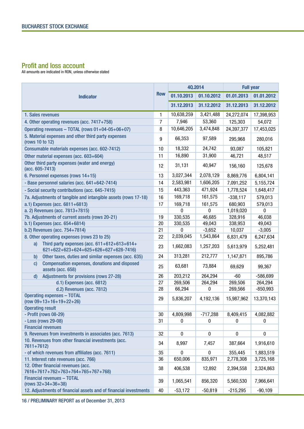#### Profit and loss account

All amounts are indicated in RON, unless otherwise stated

| <b>Indicator</b>                                                                           |    | 40.2014    |            | <b>Full year</b> |            |
|--------------------------------------------------------------------------------------------|----|------------|------------|------------------|------------|
|                                                                                            |    | 01.10.2013 | 01.10.2012 | 01.01.2013       | 01.01.2012 |
|                                                                                            |    | 31.12.2013 | 31.12.2012 | 31.12.2013       | 31.12.2012 |
| 1. Sales revenues                                                                          | 1  | 10,638,259 | 3,421,488  | 24,272,074       | 17,398,953 |
| 4. Other operating revenues (acc. 7417+758)                                                | 7  | 7,946      | 53,360     | 125,303          | 54,072     |
| Operating revenues - TOTAL (rows 01+04-05+06+07)                                           | 8  | 10,646,205 | 3,474,848  | 24,397,377       | 17,453,025 |
| 5. Material expenses and other third party expenses<br>(rows 10 to 12)                     | 9  | 66,353     | 97,589     | 295,968          | 280,016    |
| Consumable materials expenses (acc. 602-7412)                                              | 10 | 18,332     | 24,742     | 93,087           | 105,821    |
| Other material expenses (acc. 603+604)                                                     | 11 | 16,890     | 31,900     | 46,721           | 48,517     |
| Other third party expenses (water and energy)<br>(acc. 605-7413)                           | 12 | 31,131     | 40,947     | 156,160          | 125,678    |
| 6. Personnel expenses (rows 14+15)                                                         | 13 | 3,027,344  | 2,078,129  | 8,869,776        | 6,804,141  |
| - Base personnel salaries (acc. 641+642-7414)                                              | 14 | 2,583,981  | 1,606,205  | 7,091,252        | 5,155,724  |
| - Social security contributions (acc. 645-7415)                                            | 15 | 443,363    | 471,924    | 1,778,524        | 1,648,417  |
| 7a. Adjustments of tangible and intangible assets (rows 17-18)                             | 16 | 169,718    | 161,575    | $-338,117$       | 579,013    |
| a.1) Expenses (acc. 6811+6813)                                                             | 17 | 169,718    | 161,575    | 680,903          | 579,013    |
| a. 2) Revenues (acc. 7813+7815)                                                            |    | 0          | $\pmb{0}$  | 1,019,020        | $\pmb{0}$  |
| 7b. Adjustments of current assets (rows 20-21)                                             | 19 | 330,535    | 46,685     | 328,916          | 46,038     |
| b.1) Expenses (acc. 654+6814)                                                              | 20 | 330,535    | 49,043     | 338,953          | 49,043     |
| b.2) Revenues (acc. 754+7814)                                                              | 21 | 0          | $-3,652$   | 10,037           | $-3,005$   |
| 8. Other operating expenses (rows 23 to 25)                                                | 22 | 2,039,045  | 1,543,864  | 6,831,479        | 6,247,634  |
| Third party expenses (acc. 611+612+613+614+<br>a)<br>621+622+623+624+625+626+627+628-7416) | 23 | 1,662,083  | 1,257,203  | 5,613,979        | 5,252,481  |
| Other taxes, duties and similar expenses (acc. 635)<br>b)                                  | 24 | 313,281    | 212,777    | 1,147,871        | 895,786    |
| Compensation expenses, donations and disposed<br>C)<br>assets (acc. 658)                   | 25 | 63,681     | 73,884     | 69,629           | 99,367     |
| Adjustments for provisions (rows 27-28)<br>$\mathsf{d}$                                    | 26 | 203,212    | 264,294    | -60              | $-586,699$ |
| d.1) Expenses (acc. 6812)                                                                  | 27 | 269,506    | 264,294    | 269,506          | 264,294    |
| d.2) Revenues (acc. 7812)                                                                  | 28 | 66,294     | 0          | 269,566          | $-850,993$ |
| <b>Operating expenses - TOTAL</b><br>$(row 09+13+16+19+22+26)$                             | 29 | 5,836,207  | 4,192,136  | 15,987,962       | 13,370,143 |
| <b>Operating result</b>                                                                    |    |            |            |                  |            |
| - Profit (rows 08-29)                                                                      | 30 | 4,809,998  | $-717,288$ | 8,409,415        | 4,082,882  |
| - Loss (rows 29-08)                                                                        | 31 | 0          | 0          | 0                | 0          |
| <b>Financial revenues</b>                                                                  |    |            |            |                  |            |
| 9. Revenues from investments in associates (acc. 7613)                                     | 32 | $\pmb{0}$  | $\pmb{0}$  | $\pmb{0}$        | $\pmb{0}$  |
| 10. Revenues from other financial investments (acc.<br>7611+7612)                          | 34 | 8,997      | 7,457      | 387,664          | 1,916,610  |
| - of which revenues from affiliates (acc. 7611)                                            | 35 | 0          | 0          | 355,445          | 1,883,519  |
| 11. Interest rate revenues (acc. 766)                                                      | 36 | 650,006    | 835,971    | 2,778,308        | 3,725,168  |
| 12. Other financial revenues (acc.                                                         | 38 | 406,538    | 12,892     | 2,394,558        | 2,324,863  |
| 7616+7617+762+763+764+765+767+768)<br><b>Financial revenues - TOTAL</b>                    |    |            |            |                  |            |
| $(rows 32+34+36+38)$                                                                       | 39 | 1,065,541  | 856,320    | 5,560,530        | 7,966,641  |
| 12. Adjustments of financial assets and of financial investments                           | 40 | $-53,172$  | $-50,819$  | $-215,295$       | $-90,109$  |

16 / PRELIMINARY REPORT as of December 31, 2013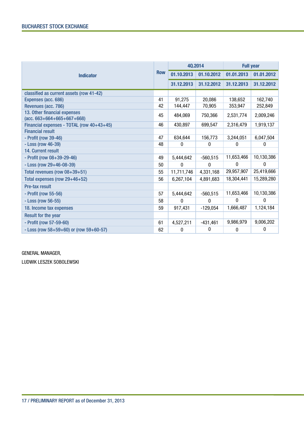| <b>Indicator</b>                                                             |    | 40.2014      |              | <b>Full year</b> |            |
|------------------------------------------------------------------------------|----|--------------|--------------|------------------|------------|
|                                                                              |    | 01.10.2013   | 01.10.2012   | 01.01.2013       | 01.01.2012 |
|                                                                              |    | 31.12.2013   | 31.12.2012   | 31.12.2013       | 31.12.2012 |
| classified as current assets (row 41-42)                                     |    |              |              |                  |            |
| Expenses (acc. 686)                                                          | 41 | 91,275       | 20,086       | 138,652          | 162,740    |
| Revenues (acc. 786)                                                          | 42 | 144,447      | 70,905       | 353,947          | 252,849    |
| 13. Other financial expenses<br>$(\text{acc. } 663 + 664 + 665 + 667 + 668)$ | 45 | 484,069      | 750,366      | 2,531,774        | 2,009,246  |
| Financial expenses - TOTAL (row 40+43+45)                                    | 46 | 430,897      | 699,547      | 2,316,479        | 1,919,137  |
| <b>Financial result</b>                                                      |    |              |              |                  |            |
| - Profit (row 39-46)                                                         | 47 | 634,644      | 156,773      | 3,244,051        | 6,047,504  |
| - Loss (row 46-39)                                                           | 48 | 0            | 0            | 0                | 0          |
| 14. Current result                                                           |    |              |              |                  |            |
| - Profit (row 08+39-29-46)                                                   | 49 | 5,444,642    | $-560,515$   | 11,653,466       | 10,130,386 |
| $-$ Loss (row 29+46-08-39)                                                   | 50 | $\mathbf{0}$ | $\mathbf{0}$ | 0                | $\theta$   |
| Total revenues (row 08+39+51)                                                | 55 | 11,711,746   | 4,331,168    | 29,957,907       | 25,419,666 |
| Total expenses (row 29+46+52)                                                | 56 | 6,267,104    | 4,891,683    | 18,304,441       | 15,289,280 |
| Pre-tax result                                                               |    |              |              |                  |            |
| - Profit (row 55-56)                                                         | 57 | 5,444,642    | $-560,515$   | 11,653,466       | 10,130,386 |
| - Loss (row 56-55)                                                           | 58 | 0            | 0            | 0                | 0          |
| 18. Income tax expenses                                                      | 59 | 917,431      | $-129,054$   | 1,666,487        | 1,124,184  |
| <b>Result for the year</b>                                                   |    |              |              |                  |            |
| - Profit (row 57-59-60)                                                      | 61 | 4,527,211    | $-431,461$   | 9,986,979        | 9,006,202  |
| $-$ Loss (row 58+59+60) or (row 59+60-57)                                    | 62 | 0            | 0            | 0                | 0          |

#### GENERAL MANAGER,

LUDWIK LESZEK SOBOLEWSKI